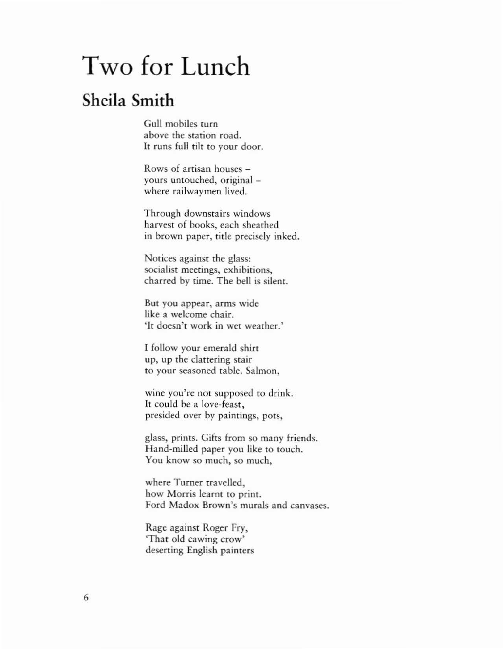## Two for Lunch

## Sheila Smith

Gull mobiles rum above the station road. It funs full tilt to your door.

Rows of artisan houses yours untouched, original where railwaymen lived.

Through downstairs windows harvest of books, each sheathed in brown paper, title precisely inked.

Notices against the glass: socialist meetings, exhibitions, charred by time. The bell is silent.

But you appear, arms wide like a welcome chair. 'It doesn't work in wet weather.'

I follow your emerald shirt up, up the clattering stair to your seasoned table. Salmon,

wine you're not supposed to drink. It could be a lovc·feast, presided over by paintings, pots,

glass, prints. Gifts from so many friends. Hand-milled paper you like to touch. You know so much, so much,

where Turner travelled, how Morris learnt to print. Ford Madox Brown's murals and canvases.

Rage against Roger Fry, 'That old cawing crow' deserting English painters